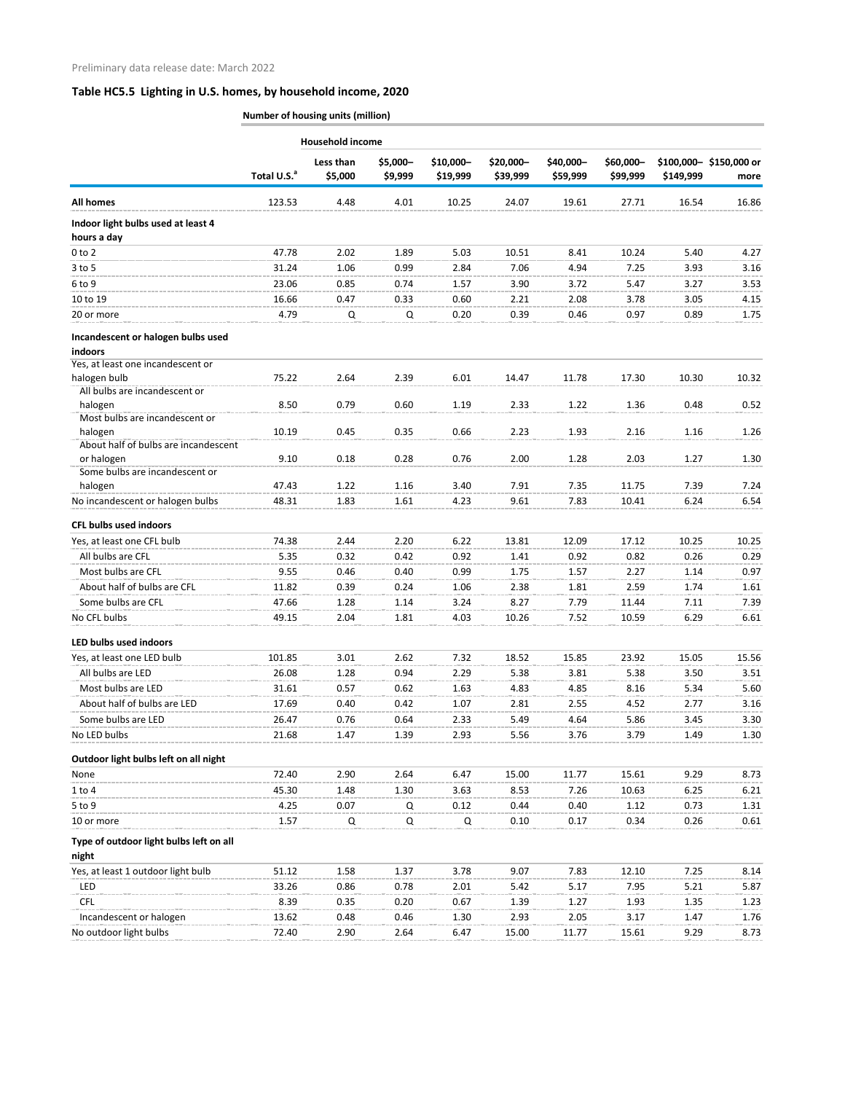## **Table HC5.5 Lighting in U.S. homes, by household income, 2020**

**Number of housing units (million)**

|                                                   |                         | <b>Household income</b> |                     |                       |                       |                       |                       |           |                                |
|---------------------------------------------------|-------------------------|-------------------------|---------------------|-----------------------|-----------------------|-----------------------|-----------------------|-----------|--------------------------------|
|                                                   | Total U.S. <sup>a</sup> | Less than<br>\$5,000    | \$5,000-<br>\$9,999 | \$10,000-<br>\$19,999 | \$20,000-<br>\$39,999 | \$40,000-<br>\$59,999 | \$60,000-<br>\$99,999 | \$149,999 | \$100,000-\$150,000 or<br>more |
| <b>All homes</b>                                  | 123.53                  | 4.48                    | 4.01                | 10.25                 | 24.07                 | 19.61                 | 27.71                 | 16.54     | 16.86                          |
| Indoor light bulbs used at least 4<br>hours a day |                         |                         |                     |                       |                       |                       |                       |           |                                |
| $0$ to $2$                                        | 47.78                   | 2.02                    | 1.89                | 5.03                  | 10.51                 | 8.41                  | 10.24                 | 5.40      | 4.27                           |
| $3$ to 5                                          | 31.24                   | 1.06                    | 0.99                | 2.84                  | 7.06                  | 4.94                  | 7.25                  | 3.93      | 3.16                           |
| 6 to 9                                            | 23.06                   | 0.85                    | 0.74                | 1.57                  | 3.90                  | 3.72                  | 5.47                  | 3.27      | 3.53                           |
| 10 to 19                                          | 16.66                   | 0.47                    | 0.33                | 0.60                  | 2.21                  | 2.08                  | 3.78                  | 3.05      | 4.15                           |
| 20 or more                                        | 4.79                    | Q                       | Q                   | 0.20                  | 0.39                  | 0.46                  | 0.97                  | 0.89      | 1.75                           |
| Incandescent or halogen bulbs used<br>indoors     |                         |                         |                     |                       |                       |                       |                       |           |                                |
| Yes, at least one incandescent or                 |                         |                         |                     |                       |                       |                       |                       |           |                                |
| halogen bulb<br>All bulbs are incandescent or     | 75.22                   | 2.64                    | 2.39                | 6.01                  | 14.47                 | 11.78                 | 17.30                 | 10.30     | 10.32                          |
| halogen                                           | 8.50                    | 0.79                    | 0.60                | 1.19                  | 2.33                  | 1.22                  | 1.36                  | 0.48      | 0.52                           |
| Most bulbs are incandescent or                    |                         |                         |                     |                       |                       |                       |                       |           |                                |
| halogen<br>About half of bulbs are incandescent   | 10.19                   | 0.45                    | 0.35                | 0.66                  | 2.23                  | 1.93                  | 2.16                  | 1.16      | 1.26                           |
| or halogen<br>Some bulbs are incandescent or      | 9.10                    | 0.18                    | 0.28                | 0.76                  | 2.00                  | 1.28                  | 2.03                  | 1.27      | 1.30                           |
| halogen                                           | 47.43                   | 1.22                    | 1.16                | 3.40                  | 7.91                  | 7.35                  | 11.75                 | 7.39      | 7.24                           |
| No incandescent or halogen bulbs                  | 48.31                   | 1.83                    | 1.61                | 4.23                  | 9.61                  | 7.83                  | 10.41                 | 6.24      | 6.54                           |
| <b>CFL bulbs used indoors</b>                     |                         |                         |                     |                       |                       |                       |                       |           |                                |
| Yes, at least one CFL bulb                        | 74.38                   | 2.44                    | 2.20                | 6.22                  | 13.81                 | 12.09                 | 17.12                 | 10.25     | 10.25                          |
| All bulbs are CFL                                 | 5.35                    | 0.32                    | 0.42                | 0.92                  | 1.41                  | 0.92                  | 0.82                  | 0.26      | 0.29                           |
| Most bulbs are CFL                                | 9.55                    | 0.46                    | 0.40                | 0.99                  | 1.75                  | 1.57                  | 2.27                  | 1.14      | 0.97                           |
| About half of bulbs are CFL                       | 11.82                   | 0.39                    | 0.24                | 1.06                  | 2.38                  | 1.81                  | 2.59                  | 1.74      | 1.61                           |
| Some bulbs are CFL                                | 47.66                   | 1.28                    | 1.14                | 3.24                  | 8.27                  | 7.79                  | 11.44                 | 7.11      | 7.39                           |
| No CFL bulbs                                      | 49.15                   | 2.04                    | 1.81                | 4.03                  | 10.26                 | 7.52                  | 10.59                 | 6.29      | 6.61                           |
| LED bulbs used indoors                            |                         |                         |                     |                       |                       |                       |                       |           |                                |
| Yes, at least one LED bulb                        | 101.85                  | 3.01                    | 2.62                | 7.32                  | 18.52                 | 15.85                 | 23.92                 | 15.05     | 15.56                          |
| All bulbs are LED                                 | 26.08                   | 1.28                    | 0.94                | 2.29                  | 5.38                  | 3.81                  | 5.38                  | 3.50      | 3.51                           |
| Most bulbs are LED                                | 31.61                   | 0.57                    | 0.62                | 1.63                  | 4.83                  | 4.85                  | 8.16                  | 5.34      | 5.60                           |
| About half of bulbs are LED                       | 17.69                   | 0.40                    | 0.42                | 1.07                  | 2.81                  | 2.55                  | 4.52                  | 2.77      | 3.16                           |
| Some bulbs are LED                                | 26.47                   | 0.76                    | 0.64                | 2.33                  | 5.49                  | 4.64                  | 5.86                  | 3.45      | 3.30                           |
| No LED bulbs                                      | 21.68                   | 1.47                    | 1.39                | 2.93                  | 5.56                  | 3.76                  | 3.79                  | 1.49      | 1.30                           |
| Outdoor light bulbs left on all night             |                         |                         |                     |                       |                       |                       |                       |           |                                |
| None                                              | 72.40                   | 2.90                    | 2.64                | 6.47                  | 15.00                 | 11.77                 | 15.61                 | 9.29      | 8.73                           |
| $1$ to $4$                                        | 45.30                   | 1.48                    | 1.30                | 3.63                  | 8.53                  | 7.26                  | 10.63                 | 6.25      | 6.21                           |
| 5 to 9                                            | 4.25                    | 0.07                    | Q                   | 0.12                  | 0.44                  | 0.40                  | 1.12                  | 0.73      | 1.31                           |
| 10 or more                                        | 1.57                    | ${\sf Q}$               | Q                   | Q                     | 0.10                  | 0.17                  | 0.34                  | 0.26      | 0.61                           |
| Type of outdoor light bulbs left on all<br>night  |                         |                         |                     |                       |                       |                       |                       |           |                                |
| Yes, at least 1 outdoor light bulb                | 51.12                   | 1.58                    | 1.37                | 3.78                  | 9.07                  | 7.83                  | 12.10                 | 7.25      | 8.14                           |
| LED                                               | 33.26                   | 0.86                    | 0.78                | 2.01                  | 5.42                  | 5.17                  | 7.95                  | 5.21      | 5.87                           |
| <b>CFL</b>                                        | 8.39                    | 0.35                    | 0.20                | 0.67                  | 1.39                  | 1.27                  | 1.93                  | 1.35      | 1.23                           |
| Incandescent or halogen                           | 13.62                   | 0.48                    | 0.46                | 1.30                  | 2.93                  | 2.05                  | 3.17                  | 1.47      | 1.76                           |
| No outdoor light bulbs                            | 72.40                   | 2.90                    | 2.64                | 6.47                  | 15.00                 | 11.77                 | 15.61                 | 9.29      | 8.73                           |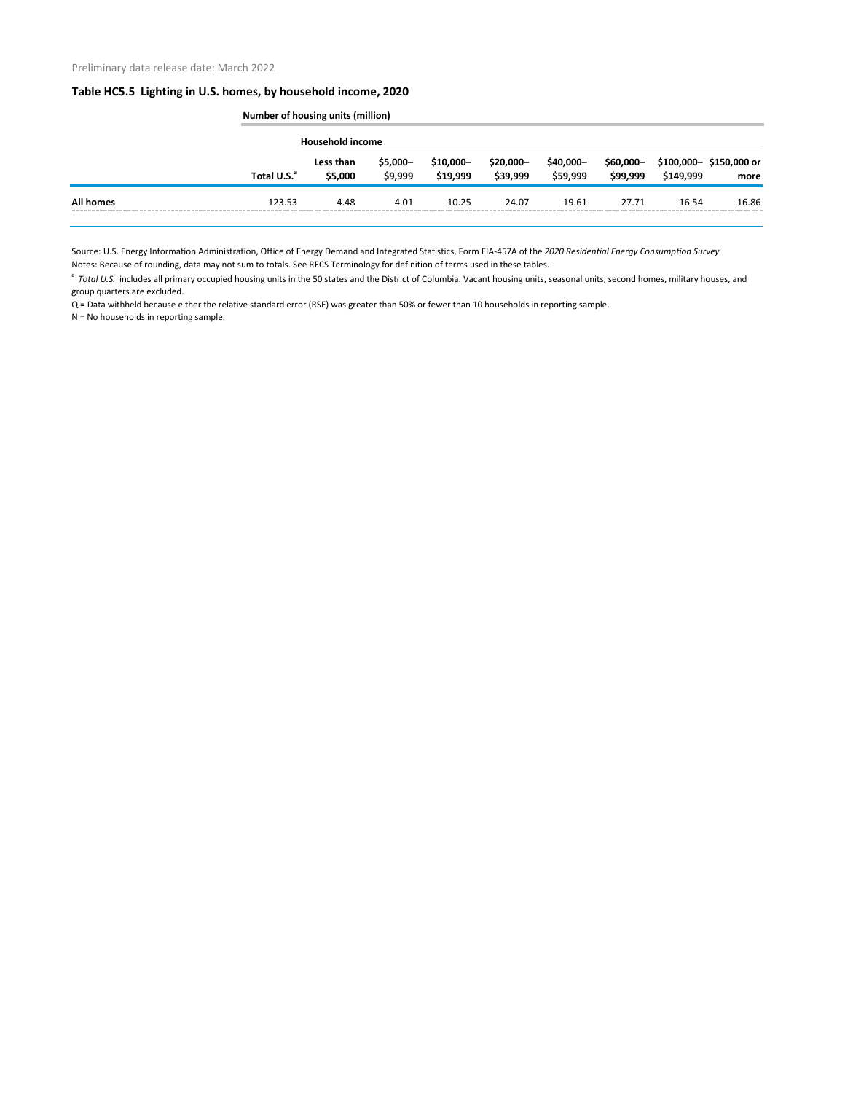## **Table HC5.5 Lighting in U.S. homes, by household income, 2020**

|                  |                         | <b>Number of housing units (million)</b> |                      |                        |                        |                       |                       |           |                                |  |
|------------------|-------------------------|------------------------------------------|----------------------|------------------------|------------------------|-----------------------|-----------------------|-----------|--------------------------------|--|
|                  | Total U.S. <sup>a</sup> | <b>Household income</b>                  |                      |                        |                        |                       |                       |           |                                |  |
|                  |                         | Less than<br>\$5,000                     | $$5,000-$<br>\$9,999 | $$10,000-$<br>\$19,999 | $$20,000-$<br>\$39,999 | \$40,000-<br>\$59,999 | \$60,000-<br>\$99,999 | \$149,999 | \$100,000-\$150,000 or<br>more |  |
| <b>All homes</b> | 123.53                  | 4.48                                     | 4.01                 | 10.25                  | 24.07                  | 19.61                 | 27.71                 | 16.54     | 16.86                          |  |

Source: U.S. Energy Information Administration, Office of Energy Demand and Integrated Statistics, Form EIA-457A of the *2020 Residential Energy Consumption Survey* Notes: Because of rounding, data may not sum to totals. See RECS Terminology for definition of terms used in these tables.

<sup>a</sup> Total U.S. includes all primary occupied housing units in the 50 states and the District of Columbia. Vacant housing units, seasonal units, second homes, military houses, and group quarters are excluded.

Q = Data withheld because either the relative standard error (RSE) was greater than 50% or fewer than 10 households in reporting sample.

N = No households in reporting sample.